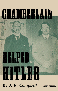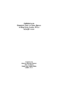*Published by the*  COMMUNIST PARTY OF GREAT BRITAIN 16 King Street, London, W.C.2  $10/10/38 - 10,000$ 

> *Printed by th•*  **MARSTON PRINTING COMPANY** *(T.U. all depts.)*  Nelson Place, Cayton Street, London, E.C.1.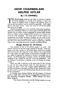# **HOW CHAMBERLAIN HELPED HITLER**

# **By J. R.** *CAMPBELL*

THE British people stand for the right of everyone to express<br>his honest thoughts, to worship as he pleases, to reject any<br>variety of religious faith, to support any political party, to<br>criticise the Government and the aut his honest thoughts, to worship as he pleases, to reject any variety of religious faith, to support any political party, to criticise the Government and the authorities generally. Such rights did not fall from heaven. They were won for the British people after years of struggle.

, The British people gave to the world the trade union movement, which has established itself as an essential part of British public life. Outside the six-million workers organised in various trades unions, there are millions whose standard of life has been in a measure protected by trade unionism. The socal services of the country, unemployment and health insurance, housing, arc the result of continuous pressure by these organisations. Over a large part of Europe, they have been destroyed by Fascism, which is preparing to destroy them in the remaining democratic countries including Britain.

# **Hunger Rations for All Europe**

The standard of life of the British people is in peril. The Fascist countries are the low wage countries of Europe. Nazi Germany is the only country in the world where wages have actually been lowered since the crisis year of 1932. Hitler is out to spread this low wage regime through Europe, to put Europe on hunger rations as a means of getting the resources to declare a successful war on Britain. If all Europe goes on hunger rations, the present British standard of life, already far too low, cannot be maintained. And the National Government is helping to put all· Europe on hunger rations.

Hitler was able to advance to the extent that he has, because he took the first steps forward under the joint banners of " the struggle for peace " and " the struggle against Bolshevism," and the powerful political machine and press of the Conservative Party has been used to convince the British people that this was the reason for his rearmament.

In October 1933, German Fascism left the League of Nations so that it might have a free hand in its preparation to poleaxe peace: and democracy throughout Europe. While making this move, Hitler declared :

" The German Government and the German people arc at one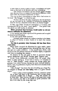in their desire to pursue a policy of peace, reconciliation and agreement, as the basis of all decisions and every undertaking.

" The German Government and the German people therefore reject the use of force as a means of removing the differences which exist within the European Community of States."

This was in direct contradiction to what Hitler had written in his book "My Struggle" in which he said:

"To-day I am led to the sober consideration that lost territories are not won back by the volubility of Parliamentary gasbags, but must be won by a sharpened sword, that is, by bloody struggle."

In May 1935 Hitler introduced conscription in Germany and accompanied this by the usual "peace speech." Two points from this speech are well worthy of attention.

#### Hitler promised that Germany would under no circumstances militarise the Rhineland.

A few months later Hitler repudiated this promise and occupied the demilitarised Rhineland.

In the same speech Hitler declared :

" Germany neither intends nor wishes to interfere in the domestic affairs of Austria, to annex Austria or to attach that country to her."

#### Yet this is precisely what Germany did less than three years later.

When Hitler occupied the Rhineland he again made a peace offer. The Tory press supported him, declaring that now the way was open tor a peace settlement. A few months later, Hitler, with his eye on the rich mineral resources of Northern Spain, co-operated with Italy in invading that country.

He declares he has only gone in there to guarantee Europe against Bolshevism and British Toryism again supports him.

British Tories deliberately concealed from the people what Hitler is really aiming at. If we want to know, it is necessary to turn to " Mein Kampf " which contains the foreign policy programme from which German fascism has never deviated however much it may, by professions of peace, have distracted attention from its real aims.

" Mein Kampf " lays down the aim of building up a huge Fascist Empire in Europe and then laying claim to a great colonial empire.

"Such a policy of land acquisition, however, cannot be carried out in some such place as the Cameroons, but is to-day almost exclusively possible only in Europe .... This will certainly not be freely done. Herc, however, the right of self preservation comes into operation, and what is not yielded to gentle persuasion will have to be taken by the strong right arm.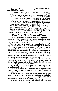#### **This aim of expansion can only be secured by the annihilation of France.**

"Germanv must realise that the will for life of the German people must no longer be allowed to languish in mere passive defence, but that we must take up an active policy and throw ourselves into a final and decisive fight with France, with the greatest of German aims. at stake. Only then will the eternal and unfruitful struggle between us and France be brought to a conclusion, on condition that the annihilation of France be looked upon solely as a means Of gaining finally the possibility of expansion for our people. To-day there are eighty-million Germans in Europe. The justification of this foreign policy will be acknowledged when after 100 years 250,000,000 Germans will be living on this Continent."

In order to facilitate this aim, Hitler in " Mein Kampf" recommended an alliance of Germany with Italy and England, so that France could be isolated and doomed to destruction.

# **Hitler Out to Divide England end France**

This is the consistent policy that Hitler has pursued since he came to power five years ago. In every aggressive step he has taken, he has tried to split England from France and the British Tories have always rushed to help him.

When he went over to conscription, thus challenging the military power of France on the continent of Europe, he at the same time concluded a naval pact with Britain. The British Tories pretended that in this pact was the beginning of an all-round limitation of armaments, that after the naval pact there would bean air pact and so on. This illusjon helped Hitler who was not aiming at limitation of armament, but at detaching Britain from France, and particularly after the conclusion of the Franco-Soviet pact, at: driving a wedge between France, and its friends in Eastern Europe.

In violation of his own pledges Hitler proceeds to militarise the Rhineland so that Germany in the West can be rendered invulnerable to French pressure and the British Tories promptly seconded him by holding France back from action.

He then forms with Japan, and later with Italy, a war alliance directed against France, Britain and the Soviet Union. But as this war alliance is called the anti-Comintern pact, a large section of British Toryism supports the idea that this is directed against the Soviet Union alone.

In need of iron ore for his war industries, he co-operates with Mussolin, in supporting the Franco rising and later on the Italian-German invasion of that country, so that he can possess himself of the rich mineral resources of Northern Spain.

At the same time, the German and Italian invasion threatens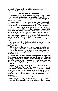to encircle France, and cut British communications with the Colonies and Dominions.

# British Tories Help Him

Thus encouraged, Hitler prepared for the seizure of Austria, whose independence had been guaranteed by France, Britain and Italy at the Stresa Conference in 1935, and carried it through with general Tory approval.

#### Faced with a great upsurge of public indignation directed against his pro-Fascist policy, Chamberlain pretended that he was prepared at last to make a stand.

The successive acts of aggression on the part of Hitler had driven a solid wedge of Fascist territory extending from the Baltic Sea to the Mediterranean between the Western Democracies and the great peace power, the Soviet Union, making common action ror the defence of peace more difficult than it would otherwise have been. But not yet hopeless, for lying close to Germany was an ally of both France and the Soviet Union-Czechoslovakia.

If Hitler was able to eliminate Czechoslovakia he could do two things.

He could break down the barrier which barred his way to the East; to the granaries and oil wells of Roumania; to the domination of the Balkans.

Right up to the Russian border there would be nothing but a group of puppet states under German domination and from these, the Nazis hoped to draw the necessary raw materials to enable them to wage a victorious war against the Western Democracies or against the Soviet Union.

#### Hitler and his gang immediately proceeded to help their Tory allies in Great Britain to pot it across. General Goering categorically declared that Germany would respect the independence and integrity of Czechoslovakia and Chamberlain obllglngly repeated this in the Hoose of Commons.

Chamberlain declared that while Britain was not bound to defend Czechoslovakia by treaty, if a war started on the question of Czechoslovakia, Britain would be bound to be drawn in. The impression was created that the Chamberlain Government was not profascist, but was slowly and reluctantly lining up with the Governments of France and the Soviet Union in resistance to Nazi aggression.

The Trade Union chiefs were firmly of this opinion. In one of the debates at the Trades Union Congress, Sir Walter Citrine, in making what he considered to be a strong point, said that he had put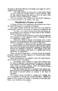the point to the Prime Minister that British arms might be used to support Fascist aggressors.

"The Prime Minister in reply asked us what Fascist powers we had in mind and I frankly confess I couldn't tell him. After all, does anybody imagine that these arms arc to be used to help Germany conquer Czechoslovakia (Cheers.)"

That was precisely what British arms and British diplomacy were to help Germany to do within a few days.

## **Chamberlain's Pressure on Czechs**

All along, the line of the Chamberlain Government was to force the Czech Government to surrender to Germany.

The stages through which this was done arc to be found in Chamberlain's speech in the House of Commons on September 28.

"On June 7 the Sudeten German Party had put forward certain proposals which embodied the eight points of Herr Henlein's speech at Karlsbad on April 24.

"The Czcchoslvakian Government, on their side had embodied their proposals in a draft nationality statute, a Language Bill, and an Administrative Reform Bill.

"About the middle of August) it had become clear to Lord Runciman that the gap between these two proposals was too wide to permit of negotiation between the parties on that basis.

" In his capacity as mediator he was successful in preventing the Sudeten-German party from closing the door to further negotiations, and he was largely instrumental in inducing Dr. Benes to put forward new proposals on August 21, which appear to have been regarded by the Sudeten Party leaders as a suitable basis for the continuance of negotiations."

These concessions forced upon a reluctant Czech Government promptly resulted in the Nazi supporters in Czechoslovakia indulging in more sweeping claims.

Again British pressure was applied to force the Czech Government to make further concessions.

"Accordingly, H.M. Minister at Prague (Mr. Newton) saw Dr. Benes on September 3 and emphasised to him that it was vital, in the interests of Czechoslovakia, to offer immediately and without reserve those concessions, without which the Sudeten-German question could not be peacefully settled.

" The Government were not in a position to say whether anything less than a full programme would suffice, and intimated that the Czech Government should go forward to the limit of concession."

The German threats increased in volume and a feeling that war was imminent in Europe was created everywhere. Millions of people in every country in Europe, in Germany no less than elsewhere, were terrified at this prospect.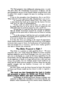The Nazi. gangsters were deliberately inducing terror, in order that their allies, the Chamberlain Government in Britain and the pro-Chamberlain section of the French Cabinet would be better able to induce their people to support the most far reaching concessions to Hitler.

It was in this atmosphere that Chamberlain flew to see Hitler. What followed is best expressed in Mr. Chamberlain's own words:

"In courteous but perfectly definite terms, Herr Hitler made it plain that he had made up his mind that the Sudctcn Germans must have the right of self-determination.

"If they could not achieve this by their own efforts he said he would assist them to do so, and he declared categorically that rather than wait he would be prepared to risk a world war. . . .

" He said that if I could give him, there and then an assurance that the British Government accepted the principle of self-determination, he was quite ready to discuss ways and means of carrying it out.

"If, on the contrary, I told him that such a principle could not be considered by the British Government, then he agreed that it was of no use to continue our conversations."

It is clear that there was nothing in the nature of negotiations. Hitler simply threatened Chamberlain with world war if the Sudeten territories and, as part of them, the fortifications of Czechoslovakia, were not handed over to Germany, and the latter readily agreed to take back to Britain this ultimatum.

### **Was Hitler Prepared to Fight?**

Was Hitler in a position to make good his threat? We must remember that a few weeks before the whole of German economy had been shaken by a great Stock Exchange crisis; that a grave financial crisis is developing as a result of the heavy expenditure by the Government; that the responsible military leaders, basing themselves on the experience of Spain, no longer believed that a short and easy victory was possible; that the German people feared world war so much that the whole press has sought to convince them that the only possible struggle was one between Germany and an isolated Czechoslovakia.

But Herr Hitler made the threat because he knew that reaction in France and Britain would use that threat in order to organise a sell out.

#### **The result was that Chamberlain flew back to London and proceeded to induce the British and French Govemments to Impose mtter's plan upon Czechoslovakia.**

" Accordingly, the British and French Ministers in Prague were instructed to inform the Czechoslovak Government that the continuance within Czechoslovakia of the districts mainly inhabited by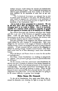Sudeten Germans would imperil the interests pf Czechoslovakia herself and all hopes of peace. The Czechoslovak Government was asked to agree immediately to the direct transfer to the Reich of areas inhabited by the population of more than 50 per cent. Germans.

" The Czechoslovak Government was informed that to meet its natural desire for security in the future, His Majesty's Government would be prepared a9 a contribution to the pacification of Europe, to ioin in an international guarantee in regard to the new boundaries of the Czechoslovak. State."

Let us look at these proposals for a moment. We see In the first place that all districts with a majority of Germans have to be ceded to Hitler. Now it is perfectly possible for a. district which contains a majority of people who are opposed to German rule to be handed over to Hitler.

Say a district has 52 per cent. Germans, and 48 per cent. Czechs and that 10 per cent. of the Germans are opposed to going under Hitler. Under the plan drawn up by the British and French Governments on the basis of Hitler's ultimatum, this territory with an anti-Hitler majority must be ceded to Germany.

Still more grotesque is the suggestion that Britain and France would defend the new frontiers of Czechoslovakia. Both were pledged by the Covenant of the League of Nations to defend the existing frontier, France was pledged to do so by its treaty of mutual assistance. If both countries had just ratted on this obligation to defend the existing strongly -fortified natural frontier, what likdihood would there be of these defending a much more vulnerable frontier.

What did Britain and France obtain in return for this sacrifice of Czechoslovakia?

Did Hitler, whom Chamberlain was working so energetically to" appease," now proceed to give guarantees for peaceful behaviour for the future?

On the contrary, in his first conversation with Chamberlain he did not even give a promise of refraining from further demands for a single minute after he had obtained possession of the frontiers of Czechoslovakia. The British and French Governments had surrendered to Hitler and had got nothing in return. When the full betrayal of peace represented by those proposals became clear, public indignation rose to fever heat. It was clear that there was going to be the utmost difficulty in getting them through.

## Hitler Raises His Demands

To the aid of Chamberlain, there again came Hitler who increased his demands, now claiming the right to occupy the Czech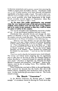fortifications immediately and to prevent anyone from removing his wealth or property from the Sudeten districts. Chamberlain could not, in view of public opinion, accept these demands, and appeared superficially to be about to make a stand. The result is that a considerable section of pubiic opinion, aided by the Liberal and Labour press, moved gradually away from denunciation of the Anglo-French surrender towards support of Chamberlain whom they now believed to be about to make a stand.

At the same time public apprehension was aroused when the very backward state of air-raid precautions were realised, when mothers were told that their young children had to be ready at any moment so that they could be taken to a place of safety in the country.

This was the atmosphere that Chamberlain wanted for a further sell out. All the psychological conditions had been created.

Chamberlain then proceeded directly and through the intermediary of Mussolini to fix up a meeting with Hitler in which the complete surrender would take place. The news of this meeting was presented to the House of Commons in the following way:

" Whatever views Hon. Members may have had about Signor Mussolini in the past, I believe everyone will welcome his gesture of being willing to work with us for peace in Europe. That is not all: I have something further to say to the House yet. I have now been informed by Herr Hitler that he invites me to meet him at Munich to-morrow morning. He has also invited Signor Mussolini and M .Dala) lier. Signor Mussolini has accepted and M. Daladier has also accepted. <sup>7</sup> need not say what my answer will be."

There is no need to describe the hysterical scene which followed. The Labour and Liberal leaders forgetting that the negotiations were to take place on the basis of what the National Council of Labour described as "a shameful betrayal of a peaceful and democratic people" (Statement of September 20), welcomed the Prime Minister's statement and wished him·" God Speed." Alone in Parliament, amid the din of howling Tories, Wm. Gallacher, M.P., voices his protest.

When Chamberlain went back to Hitler on the 22nd September, Hitler presented the demands that the Czechs clear out of the Sudeten districts, abandoning their fortifications intact to the Germans. In other words they got seven days to clear out. The Czechs refused to budge.

# The Munich " Concessions "

At the Munich Conference the dictators gave a "notable example " of concessions. Instead of allowing the Czechs seven days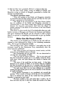to clear out they were graciously allowed ro days to clear out.

On the other hand, Hitler, acting on behalf of Poland, and Mussolini acting on behalf of Hungary, proceeded to further dismember Czechoslovakia.

#### The Munich agreement states:

"When the question of the Polish and Hungarian minorities in Czechoslovakia has been settled, German and Italy for their part will give a guarantee to Czechoslovakia.

The heads of the Governments of the Four Powers declare that the problems of the Polish and Hungarian minorities in Czechoslovakia, if not settled within three months by agreement between the respective governments shall form the subject of another meeting of the heads of Governments as the Four Powers here represent.'

This means in plain words that if Czechoslovakia does not cede further territory to Hungary and Poland, the Germans and Italians will again blackmail the British and the French in order to force them to co-0perate in compelling Czechoslovakia to give up further territory.

## **Hitler Gets His Pound of Flesh**

The territory to be handed over to Hitler by the 10th will correspond to that delineated by Hitler in his Godesberg memorandum. He has got his full pound of flesh.

The meaning of this "peace settlement" was made clear in the statement issued by the Communist Party immediately after the terms had been published :

" The victory of peace and democracy seemed certain, and this meant the end of Hitler's threat to Europe.

" But Chamberlain did not want this. He was determined to save the face and prestige of Hitler.

" This was why he went to Munich. Not to save peace and help the Czechoslovak people, but to save Hitler, break the democratic peace front, and open Europe and Britain to fascism and new wars.

" The peace of the world has not been saved. It has been betrayed to the custody of Hitler, to be broken when he considers the time favourable for his next act of conquest, with his military forces enormously strengthened by his invasion of Czechoslovakia.

"No such terms have ever yet been inflicted; on a peaceful country that had already gone to the limit of sacrifice in the interests of world civilisation.

If the Munich Agreement is not repudiated, ask yourself the question 'What country in Europe will be the next to be attacked?''

But it is claimed the peace of the world has been preserved. Daladier is reported to have said:

"We have avoided a war, and surely that is worth a lot. If there had been any war it may have meant the sacrifice of at least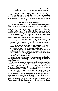ten million persons over a question of returning the three millions of German race to Germany, and then there would have been the question of the reconstruction of Czechoslovakia.

" Who would want to make himself responsible for that? "

The line of argument here is that Hitler would have declared war and sacrificed ten million lives in order to have obtained the right to annex that part of Czechoslovakia in which three million Germans and many Czechs live.

# **Towards a Fascist Europe** ?

If Hitler was prepared for this enormous expenditure of lives, if he was prepared to risk the existence of his regime (which we have shown to be more than doubtful) then it is clearly because the possession of Sudetenland was a step towards the greater aim of a Fascist Europe. To give him alll that he asks for at this moment without a struggle, to place the key of the domination of Europe in his hands, is surely a strange way of preserving peace.

In order to save Chamberlain's face and keep him in power, a so-called Peace Pact is signed which reads as follows:

" We, the German Fuehrer and the British Prime Minister, have had a further meeting to-day and arc agreed in recognising that the question of Anglo-German relations is of the first importance for the future of our countries and of Europe.

"We regard the agreement signed yesterday night and the Anglo-German Naval Agreement as symbolic of the decision of our two peoples never to go to war with one another again.

"We are resolved that the method of consultation shall be the method adopted to deal with any other question that may concern our two countries, and we are determined to continue our efforts to remove possible sources of difference, and thus to contribute to the assurance of peace in Europe:."

#### **And this worthless scrap of paper is supposed to be a**  just equivalent for handing over the strategical heart of **Europe to Hitler.**

This gigantic betrayal of democracy and peace has only been possible because of three things ( 1) a lack of understanding of the real character of Fascism;  $(2)$  a lack of understanding of the real character of Chamberlain, and (3) a lack of unity amongst the labour and democratic forces in Great Britain.

Fortunately the events of the last week have taught people the real character of Hitler, but they have still to realise the full infamy of Chamberlain. When in the cinemas of the country people arc found cheering Chamberlain and hissing Hitler, there is still a lack of understanding of the role that Chamberlain is playing as Hitler's accomplice. Or when trade union leaders believe, as Sir Walter Citrine did, that Chamberlain would not assist the Fascist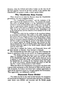dictators, when the Liberal and Labour leaders on the very eve of tho most gigantic betrayal of all were actually of the opinion that Chamberlain was going to make a stand against Hitler.

## Why Chamberlain Helps Fascism

There should be no room for illusions about the Chamberlain government and why it supports fascism.

" The Chamberlain Government " said the resolution of the 15th Congress of the Communist Party, "has pursued this scandalous policy of betrayal because it is the representative of those reactionary circles in Great Britain who in their own way are working for a government similar to those of Germany and Italy, in order to have a free hand to ruthlessly pursue their class interests. They are, at the outset of the economic crisis, demanding a cut in the social services and the reduction of the standard of life of the British people.

" They have aided the big combines in the munitions industry to accumulate scandalously high profits at the public expense and have joined them in seeking to break down the standard of life of the munitions workers. They have put on the Statute Book a whole series of reactionary measures (Seditions Act and Public Order Act) and have sought to encourage the growth of the Mosley movement as a weapon against the British working class, becauso on their way to Fascism they see in the British Labour Movement and in the cherished democratic rights of the British people, obstacles which must be swept aside."

Until this is realised the Labour and Democratic forces will go from blunder to blunder, from betrayal to betrayal.

But Chamberlain has been able to get away with it because the forces in opposition to him arc not united. As Congress pointed out:

" The British working class alone is not in a position to bring about an immediate reversal of this policy and to end the rule of the Chamberlain clique, and the other sections alone arc not in a position to compel this change. The treacherous pro-fascists led by Chamberlain are carrying out the historical ruling class policy of 'divide and conquer,' seeking through this policy to clear the way for a fascist transformation in Great Britain."

When last March the Chamberlain Government was faced with a grave crisis, consequent on the dismissal of Eden and the annexation of Austria, the Labour movement had a unique opportunity to unite all the opposition forces in a struggle against the Government. That opportunity was deliberately rejected.

# Democratic Forces Divided

The result was that in the vital months between the annexation of Austria and the betrayal of Czechoslovakia, the Labour and Democratic forces were divided and impotent and the British people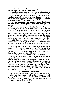could not be mobilised to a full understanding of the great issues that they were shortly to be called to face.

Even when the full gravity of the crisis began to be understood, when the Labour movement issued a call against the disemberment of Czechoslovakia, it took no steps whatever to organise a great Labour campaign to carry its policy to the mass of the people, indeed the mere suggestion of such a campaign was violently opposed by prominent trade union leaders.

#### **No great campaign was organised until Chamberlain returned from Berchtesgaden with the first plan of betrayal.**

Not only so but although the situation demanded the pressure of a united people against Chamberlain, there was an utter refusal on the part of the Labour Party to talk with other sections of democratic opinion. During the March crisis the Liberals had been rebuffed when they approached the Labour Party for common action. They were not willing to face another rebuff. The Labour Party Executive on the other hand stood pat on its decisions regarding the Popular Front. Local Labour Parties who at the height of the crisis dared to co-operate with Communists, or Liberals, in public meetings were brought into line. The influential Peace movement, composed of anti-Chamberlain forces in all parties, remained isolated from the Labour Party.

What a policy! Hitler strives to keep his potential enemies separated in order to defeat them one by one. The National Council of Labour warns the whole movement against this and declares: " The British Government must leave no doubt in the mind of the German Government that they will unite with the French and Soviet Governments to resist any attack on Czechoslovakia."

But the very same National Council of Labour refuses to unite with the Communists, with Liberal and Peace organisations in a common campaign to force Mr. Chamberlain to cease uniting with Hitler in forcing through the dismemberment of democracy in Czechoslovakia. The result is that Chamberlain has got away with it and the Labour bureaucrats who were boasting last May about winning a General Election easily are now shivering with apprehension lest a general election is sprung upon them which leaves them with fewer seats in Parliament.

# **Burning Need for Unity**

But the crisis has taught the British Labour movement lessons. They have seen the shameful behaviour of their leaders who, while opposing the Popular Front in the name of the " independence of the Labour movement," shamefully cheered Chamberlain on his way to the betrayal of Czechoslovakia.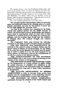The supreme lesson is that the Chamberlain-Hitler policy will reach greater depths of betraval unless the Labour and democratic forces unite. Yesterday they gave way when Chamberlain gave away the strategical heart of Europe. To-morrow he is ready to do a deal with Mussolini over Spain, which will give Fascism control of Britain's Mediterranean communications. Only the unity of all the popular forces in Britain can defeat this project.

Our r 5th Congress pointed the way to that unity:

The struggle against Chamberlain's policy of betraying peace and democracy must be the starting point of a great popular movement, not only for the defence of peace but for the fight against the economic crisis.

Not only is the working class organised in its Trade Unions and political parties, but the middle sections of society, the professional workers, intellectuals, and farmers have a host of organisations which we must seek to bring together in a common front on the basis of a common programme, and the working class should take the initiative In bringing about this common struggle and common movement.

The Communist Party puts forward the following proposals as the basis of such a People's Front movement:

FOR THE DEFENCE AND MAINTENANCE OF PEACE by the collective action of France, Britain and the Soviet Union in defence of Czechoslovakia; for the lifting of the arms ban on the Spanish Government and the granting of credit to enable it to buy the food required for its heroic defence of democracy; and for the establishment of an effective system of air raid precautions.

THE NATIONALISATION OF THE MUNITIONS INDUSTRIES with a view to preventing profiteering at the expense of the workers or the taxpayers.

FOR THE FIGHT AGAINST THE ECONOMIC CRISIS by the inauguration of a great scheme of public works, by special measures to establish new industries in the depressed areas and by the forty-hour week, the establishment of a minimum wage and of Trade Union agreements in all industries.

THE PLANNED DEVELOPMENT OF BRITISH AGRICULTURE in order to increase home grown food supplies and the reorganisation of the marketing schemes in the interests of farmworkers, farmers and consumers.

THE EXTENSION OF SOCIAL LEGISLATION, paticularly through the adoption of the Youth Charter and